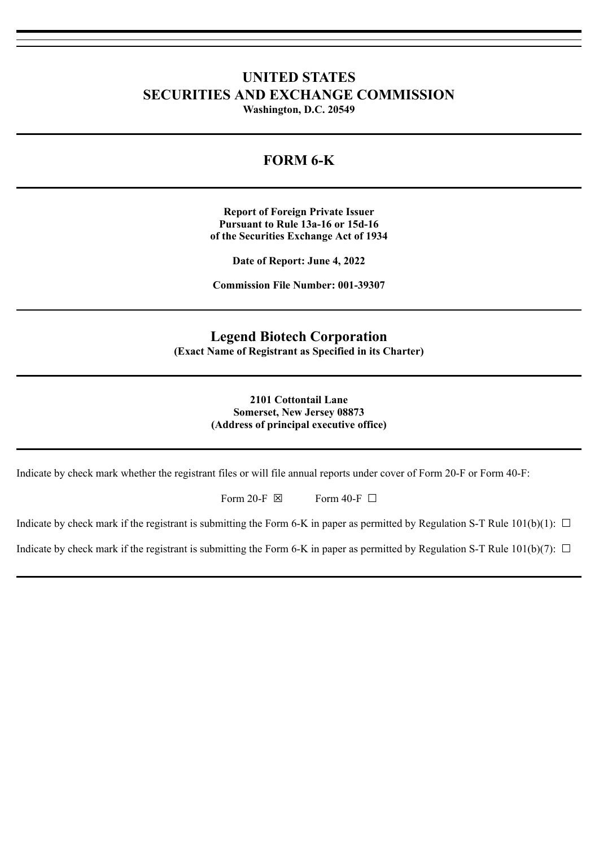# **UNITED STATES SECURITIES AND EXCHANGE COMMISSION Washington, D.C. 20549**

# **FORM 6-K**

**Report of Foreign Private Issuer Pursuant to Rule 13a-16 or 15d-16 of the Securities Exchange Act of 1934**

**Date of Report: June 4, 2022**

**Commission File Number: 001-39307**

# **Legend Biotech Corporation**

**(Exact Name of Registrant as Specified in its Charter)**

#### **2101 Cottontail Lane Somerset, New Jersey 08873 (Address of principal executive office)**

Indicate by check mark whether the registrant files or will file annual reports under cover of Form 20-F or Form 40-F:

Form 20-F  $\boxtimes$  Form 40-F  $\Box$ 

Indicate by check mark if the registrant is submitting the Form 6-K in paper as permitted by Regulation S-T Rule  $101(b)(1)$ :  $\Box$ 

Indicate by check mark if the registrant is submitting the Form 6-K in paper as permitted by Regulation S-T Rule 101(b)(7):  $\Box$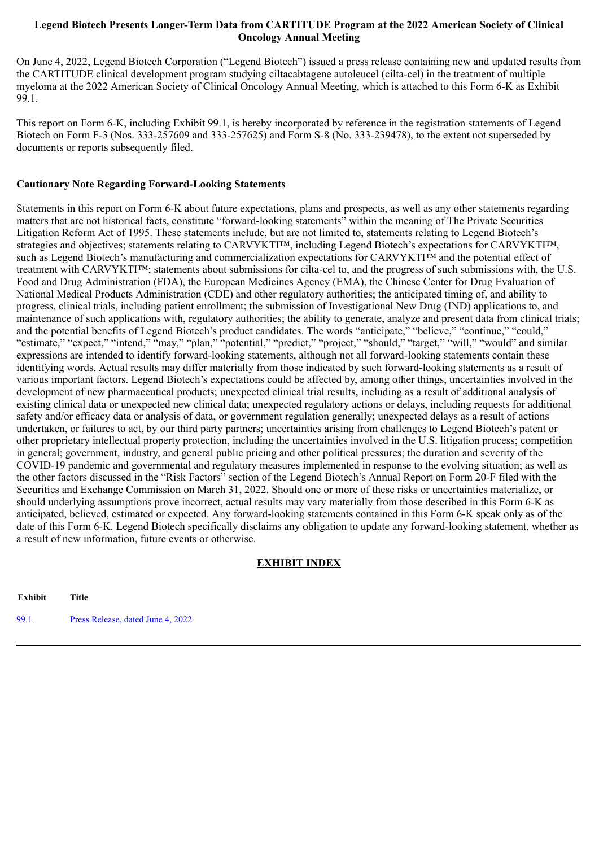#### **Legend Biotech Presents Longer-Term Data from CARTITUDE Program at the 2022 American Society of Clinical Oncology Annual Meeting**

On June 4, 2022, Legend Biotech Corporation ("Legend Biotech") issued a press release containing new and updated results from the CARTITUDE clinical development program studying ciltacabtagene autoleucel (cilta-cel) in the treatment of multiple myeloma at the 2022 American Society of Clinical Oncology Annual Meeting, which is attached to this Form 6-K as Exhibit 99.1.

This report on Form 6-K, including Exhibit 99.1, is hereby incorporated by reference in the registration statements of Legend Biotech on Form F-3 (Nos. 333-257609 and 333-257625) and Form S-8 (No. 333-239478), to the extent not superseded by documents or reports subsequently filed.

### **Cautionary Note Regarding Forward-Looking Statements**

Statements in this report on Form 6-K about future expectations, plans and prospects, as well as any other statements regarding matters that are not historical facts, constitute "forward-looking statements" within the meaning of The Private Securities Litigation Reform Act of 1995. These statements include, but are not limited to, statements relating to Legend Biotech's strategies and objectives; statements relating to CARVYKTI™, including Legend Biotech's expectations for CARVYKTI™, such as Legend Biotech's manufacturing and commercialization expectations for CARVYKTI™ and the potential effect of treatment with CARVYKTI™; statements about submissions for cilta-cel to, and the progress of such submissions with, the U.S. Food and Drug Administration (FDA), the European Medicines Agency (EMA), the Chinese Center for Drug Evaluation of National Medical Products Administration (CDE) and other regulatory authorities; the anticipated timing of, and ability to progress, clinical trials, including patient enrollment; the submission of Investigational New Drug (IND) applications to, and maintenance of such applications with, regulatory authorities; the ability to generate, analyze and present data from clinical trials; and the potential benefits of Legend Biotech's product candidates. The words "anticipate," "believe," "continue," "could," "estimate," "expect," "intend," "may," "plan," "potential," "predict," "project," "should," "target," "will," "would" and similar expressions are intended to identify forward-looking statements, although not all forward-looking statements contain these identifying words. Actual results may differ materially from those indicated by such forward-looking statements as a result of various important factors. Legend Biotech's expectations could be affected by, among other things, uncertainties involved in the development of new pharmaceutical products; unexpected clinical trial results, including as a result of additional analysis of existing clinical data or unexpected new clinical data; unexpected regulatory actions or delays, including requests for additional safety and/or efficacy data or analysis of data, or government regulation generally; unexpected delays as a result of actions undertaken, or failures to act, by our third party partners; uncertainties arising from challenges to Legend Biotech's patent or other proprietary intellectual property protection, including the uncertainties involved in the U.S. litigation process; competition in general; government, industry, and general public pricing and other political pressures; the duration and severity of the COVID-19 pandemic and governmental and regulatory measures implemented in response to the evolving situation; as well as the other factors discussed in the "Risk Factors" section of the Legend Biotech's Annual Report on Form 20-F filed with the Securities and Exchange Commission on March 31, 2022. Should one or more of these risks or uncertainties materialize, or should underlying assumptions prove incorrect, actual results may vary materially from those described in this Form 6-K as anticipated, believed, estimated or expected. Any forward-looking statements contained in this Form 6-K speak only as of the date of this Form 6-K. Legend Biotech specifically disclaims any obligation to update any forward-looking statement, whether as a result of new information, future events or otherwise.

### **EXHIBIT INDEX**

**Exhibit Title** [99.1](#page-3-0) Press [Release,](#page-3-0) dated June 4, 2022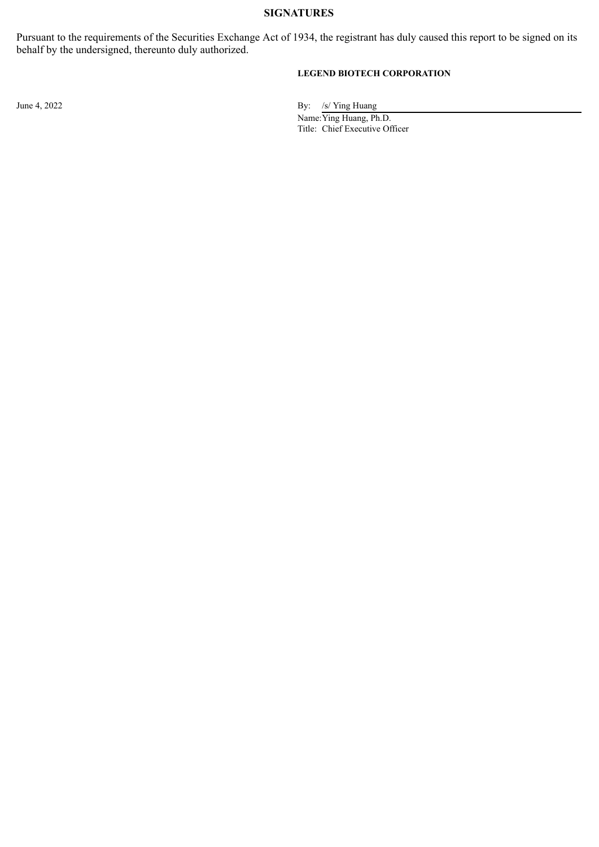#### **SIGNATURES**

Pursuant to the requirements of the Securities Exchange Act of 1934, the registrant has duly caused this report to be signed on its behalf by the undersigned, thereunto duly authorized.

### **LEGEND BIOTECH CORPORATION**

June 4, 2022 By: /s/ Ying Huang

Name:Ying Huang, Ph.D. Title: Chief Executive Officer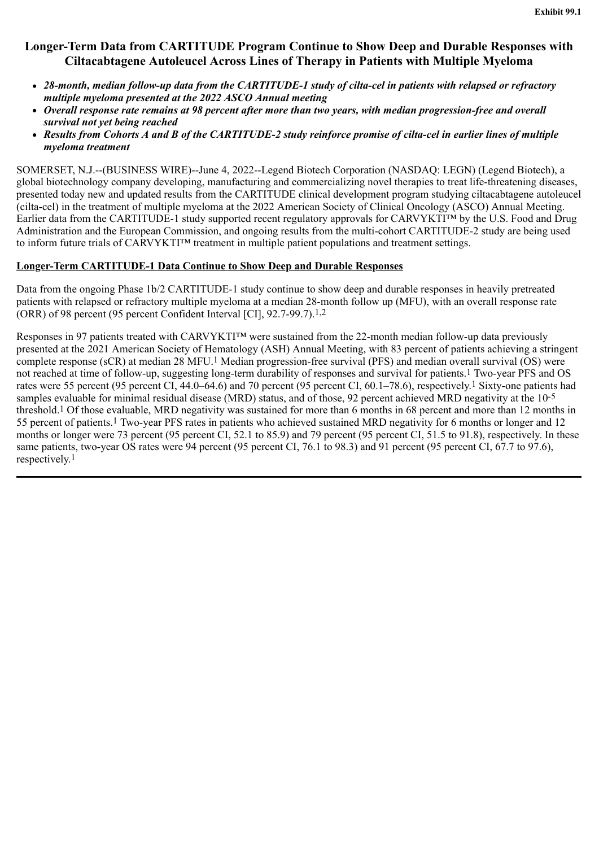# <span id="page-3-0"></span>**Longer-Term Data from CARTITUDE Program Continue to Show Deep and Durable Responses with Ciltacabtagene Autoleucel Across Lines of Therapy in Patients with Multiple Myeloma**

- *28-month, median follow-up data from the CARTITUDE-1 study of cilta-cel in patients with relapsed or refractory multiple myeloma presented at the 2022 ASCO Annual meeting*
- *Overall response rate remains at 98 percent after more than two years, with median progression-free and overall survival not yet being reached*
- *Results from Cohorts A and B of the CARTITUDE-2 study reinforce promise of cilta-cel in earlier lines of multiple myeloma treatment*

SOMERSET, N.J.--(BUSINESS WIRE)--June 4, 2022--Legend Biotech Corporation (NASDAQ: LEGN) (Legend Biotech), a global biotechnology company developing, manufacturing and commercializing novel therapies to treat life-threatening diseases, presented today new and updated results from the CARTITUDE clinical development program studying ciltacabtagene autoleucel (cilta-cel) in the treatment of multiple myeloma at the 2022 American Society of Clinical Oncology (ASCO) Annual Meeting. Earlier data from the CARTITUDE-1 study supported recent regulatory approvals for CARVYKTI™ by the U.S. Food and Drug Administration and the European Commission, and ongoing results from the multi-cohort CARTITUDE-2 study are being used to inform future trials of CARVYKTI™ treatment in multiple patient populations and treatment settings.

### **Longer-Term CARTITUDE-1 Data Continue to Show Deep and Durable Responses**

Data from the ongoing Phase 1b/2 CARTITUDE-1 study continue to show deep and durable responses in heavily pretreated patients with relapsed or refractory multiple myeloma at a median 28-month follow up (MFU), with an overall response rate (ORR) of 98 percent (95 percent Confident Interval [CI], 92.7-99.7).1,2

Responses in 97 patients treated with CARVYKTI™ were sustained from the 22-month median follow-up data previously presented at the 2021 American Society of Hematology (ASH) Annual Meeting, with 83 percent of patients achieving a stringent complete response (sCR) at median 28 MFU.<sup>1</sup> Median progression-free survival (PFS) and median overall survival (OS) were not reached at time of follow-up, suggesting long-term durability of responses and survival for patients.1 Two-year PFS and OS rates were 55 percent (95 percent CI, 44.0–64.6) and 70 percent (95 percent CI, 60.1–78.6), respectively.1 Sixty-one patients had samples evaluable for minimal residual disease (MRD) status, and of those, 92 percent achieved MRD negativity at the 10-5 threshold.1 Of those evaluable, MRD negativity was sustained for more than 6 months in 68 percent and more than 12 months in 55 percent of patients.1 Two-year PFS rates in patients who achieved sustained MRD negativity for 6 months or longer and 12 months or longer were 73 percent (95 percent CI, 52.1 to 85.9) and 79 percent (95 percent CI, 51.5 to 91.8), respectively. In these same patients, two-year OS rates were 94 percent (95 percent CI, 76.1 to 98.3) and 91 percent (95 percent CI, 67.7 to 97.6), respectively.<sup>1</sup>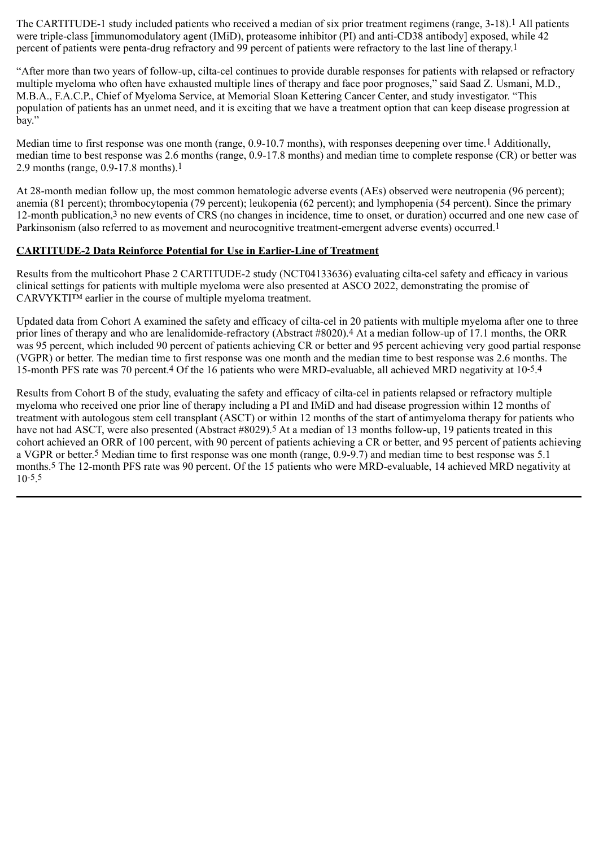The CARTITUDE-1 study included patients who received a median of six prior treatment regimens (range, 3-18).<sup>1</sup> All patients were triple-class [immunomodulatory agent (IMiD), proteasome inhibitor (PI) and anti-CD38 antibody] exposed, while 42 percent of patients were penta-drug refractory and 99 percent of patients were refractory to the last line of therapy.1

"After more than two years of follow-up, cilta-cel continues to provide durable responses for patients with relapsed or refractory multiple myeloma who often have exhausted multiple lines of therapy and face poor prognoses," said Saad Z. Usmani, M.D., M.B.A., F.A.C.P., Chief of Myeloma Service, at Memorial Sloan Kettering Cancer Center, and study investigator. "This population of patients has an unmet need, and it is exciting that we have a treatment option that can keep disease progression at bay."

Median time to first response was one month (range, 0.9-10.7 months), with responses deepening over time.<sup>1</sup> Additionally, median time to best response was 2.6 months (range, 0.9-17.8 months) and median time to complete response (CR) or better was 2.9 months (range, 0.9-17.8 months).1

At 28-month median follow up, the most common hematologic adverse events (AEs) observed were neutropenia (96 percent); anemia (81 percent); thrombocytopenia (79 percent); leukopenia (62 percent); and lymphopenia (54 percent). Since the primary 12-month publication,3 no new events of CRS (no changes in incidence, time to onset, or duration) occurred and one new case of Parkinsonism (also referred to as movement and neurocognitive treatment-emergent adverse events) occurred.1

### **CARTITUDE-2 Data Reinforce Potential for Use in Earlier-Line of Treatment**

Results from the multicohort Phase 2 CARTITUDE-2 study (NCT04133636) evaluating cilta-cel safety and efficacy in various clinical settings for patients with multiple myeloma were also presented at ASCO 2022, demonstrating the promise of CARVYKTI™ earlier in the course of multiple myeloma treatment.

Updated data from Cohort A examined the safety and efficacy of cilta-cel in 20 patients with multiple myeloma after one to three prior lines of therapy and who are lenalidomide-refractory (Abstract #8020).4 At a median follow-up of 17.1 months, the ORR was 95 percent, which included 90 percent of patients achieving CR or better and 95 percent achieving very good partial response (VGPR) or better. The median time to first response was one month and the median time to best response was 2.6 months. The 15-month PFS rate was 70 percent.4 Of the 16 patients who were MRD-evaluable, all achieved MRD negativity at 10-5.4

Results from Cohort B of the study, evaluating the safety and efficacy of cilta-cel in patients relapsed or refractory multiple myeloma who received one prior line of therapy including a PI and IMiD and had disease progression within 12 months of treatment with autologous stem cell transplant (ASCT) or within 12 months of the start of antimyeloma therapy for patients who have not had ASCT, were also presented (Abstract #8029).<sup>5</sup> At a median of 13 months follow-up, 19 patients treated in this cohort achieved an ORR of 100 percent, with 90 percent of patients achieving a CR or better, and 95 percent of patients achieving a VGPR or better.5 Median time to first response was one month (range, 0.9-9.7) and median time to best response was 5.1 months.5 The 12-month PFS rate was 90 percent. Of the 15 patients who were MRD-evaluable, 14 achieved MRD negativity at 10-5.5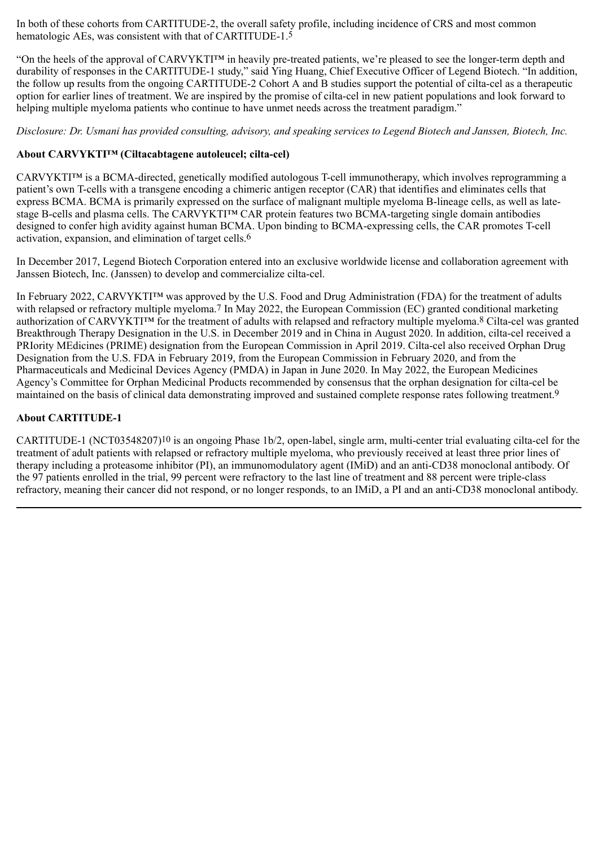In both of these cohorts from CARTITUDE-2, the overall safety profile, including incidence of CRS and most common hematologic AEs, was consistent with that of CARTITUDE-1.<sup>5</sup>

"On the heels of the approval of CARVYKTI™ in heavily pre-treated patients, we're pleased to see the longer-term depth and durability of responses in the CARTITUDE-1 study," said Ying Huang, Chief Executive Officer of Legend Biotech. "In addition, the follow up results from the ongoing CARTITUDE-2 Cohort A and B studies support the potential of cilta-cel as a therapeutic option for earlier lines of treatment. We are inspired by the promise of cilta-cel in new patient populations and look forward to helping multiple myeloma patients who continue to have unmet needs across the treatment paradigm."

*Disclosure: Dr. Usmani has provided consulting, advisory, and speaking services to Legend Biotech and Janssen, Biotech, Inc.*

### **About CARVYKTI™ (Ciltacabtagene autoleucel; cilta-cel)**

CARVYKTI™ is a BCMA-directed, genetically modified autologous T-cell immunotherapy, which involves reprogramming a patient's own T-cells with a transgene encoding a chimeric antigen receptor (CAR) that identifies and eliminates cells that express BCMA. BCMA is primarily expressed on the surface of malignant multiple myeloma B-lineage cells, as well as latestage B-cells and plasma cells. The CARVYKTI™ CAR protein features two BCMA-targeting single domain antibodies designed to confer high avidity against human BCMA. Upon binding to BCMA-expressing cells, the CAR promotes T-cell activation, expansion, and elimination of target cells.6

In December 2017, Legend Biotech Corporation entered into an exclusive worldwide license and collaboration agreement with Janssen Biotech, Inc. (Janssen) to develop and commercialize cilta-cel.

In February 2022, CARVYKTI™ was approved by the U.S. Food and Drug Administration (FDA) for the treatment of adults with relapsed or refractory multiple myeloma.<sup>7</sup> In May 2022, the European Commission (EC) granted conditional marketing authorization of CARVYKTI™ for the treatment of adults with relapsed and refractory multiple myeloma.8 Cilta-cel was granted Breakthrough Therapy Designation in the U.S. in December 2019 and in China in August 2020. In addition, cilta-cel received a PRIority MEdicines (PRIME) designation from the European Commission in April 2019. Cilta-cel also received Orphan Drug Designation from the U.S. FDA in February 2019, from the European Commission in February 2020, and from the Pharmaceuticals and Medicinal Devices Agency (PMDA) in Japan in June 2020. In May 2022, the European Medicines Agency's Committee for Orphan Medicinal Products recommended by consensus that the orphan designation for cilta-cel be maintained on the basis of clinical data demonstrating improved and sustained complete response rates following treatment.9

#### **About CARTITUDE-1**

CARTITUDE-1 (NCT03548207)10 is an ongoing Phase 1b/2, open-label, single arm, multi-center trial evaluating cilta-cel for the treatment of adult patients with relapsed or refractory multiple myeloma, who previously received at least three prior lines of therapy including a proteasome inhibitor (PI), an immunomodulatory agent (IMiD) and an anti-CD38 monoclonal antibody. Of the 97 patients enrolled in the trial, 99 percent were refractory to the last line of treatment and 88 percent were triple-class refractory, meaning their cancer did not respond, or no longer responds, to an IMiD, a PI and an anti-CD38 monoclonal antibody.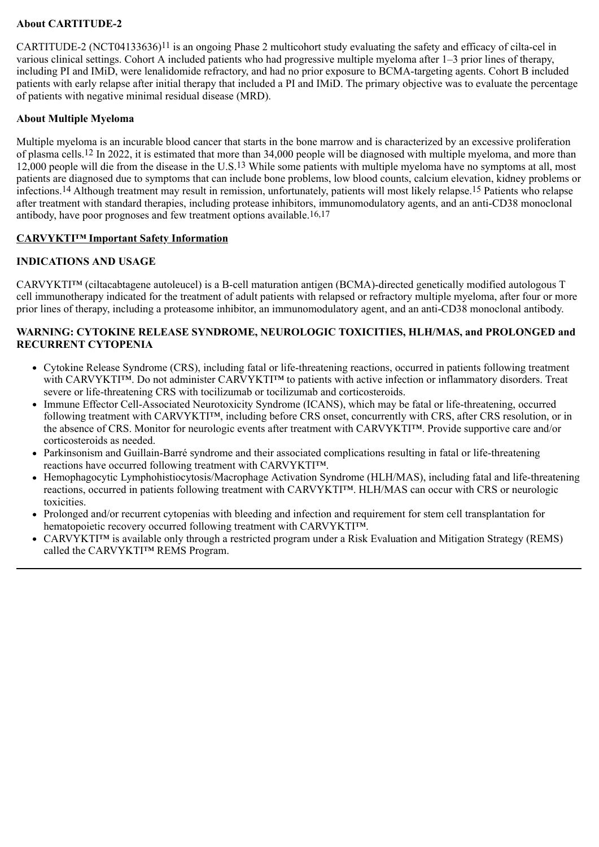### **About CARTITUDE-2**

CARTITUDE-2 (NCT04133636)<sup>11</sup> is an ongoing Phase 2 multicohort study evaluating the safety and efficacy of cilta-cel in various clinical settings. Cohort A included patients who had progressive multiple myeloma after 1–3 prior lines of therapy, including PI and IMiD, were lenalidomide refractory, and had no prior exposure to BCMA-targeting agents. Cohort B included patients with early relapse after initial therapy that included a PI and IMiD. The primary objective was to evaluate the percentage of patients with negative minimal residual disease (MRD).

### **About Multiple Myeloma**

Multiple myeloma is an incurable blood cancer that starts in the bone marrow and is characterized by an excessive proliferation of plasma cells.12 In 2022, it is estimated that more than 34,000 people will be diagnosed with multiple myeloma, and more than 12,000 people will die from the disease in the U.S.13 While some patients with multiple myeloma have no symptoms at all, most patients are diagnosed due to symptoms that can include bone problems, low blood counts, calcium elevation, kidney problems or infections.14 Although treatment may result in remission, unfortunately, patients will most likely relapse.15 Patients who relapse after treatment with standard therapies, including protease inhibitors, immunomodulatory agents, and an anti-CD38 monoclonal antibody, have poor prognoses and few treatment options available.16,17

### **CARVYKTI™ Important Safety Information**

### **INDICATIONS AND USAGE**

CARVYKTI™ (ciltacabtagene autoleucel) is a B-cell maturation antigen (BCMA)-directed genetically modified autologous T cell immunotherapy indicated for the treatment of adult patients with relapsed or refractory multiple myeloma, after four or more prior lines of therapy, including a proteasome inhibitor, an immunomodulatory agent, and an anti-CD38 monoclonal antibody.

#### **WARNING: CYTOKINE RELEASE SYNDROME, NEUROLOGIC TOXICITIES, HLH/MAS, and PROLONGED and RECURRENT CYTOPENIA**

- Cytokine Release Syndrome (CRS), including fatal or life-threatening reactions, occurred in patients following treatment with CARVYKTI™. Do not administer CARVYKTI™ to patients with active infection or inflammatory disorders. Treat severe or life-threatening CRS with tocilizumab or tocilizumab and corticosteroids.
- Immune Effector Cell-Associated Neurotoxicity Syndrome (ICANS), which may be fatal or life-threatening, occurred following treatment with CARVYKTI™, including before CRS onset, concurrently with CRS, after CRS resolution, or in the absence of CRS. Monitor for neurologic events after treatment with CARVYKTI™. Provide supportive care and/or corticosteroids as needed.
- Parkinsonism and Guillain-Barré syndrome and their associated complications resulting in fatal or life-threatening reactions have occurred following treatment with CARVYKTI™.
- Hemophagocytic Lymphohistiocytosis/Macrophage Activation Syndrome (HLH/MAS), including fatal and life-threatening reactions, occurred in patients following treatment with CARVYKTI™. HLH/MAS can occur with CRS or neurologic toxicities.
- Prolonged and/or recurrent cytopenias with bleeding and infection and requirement for stem cell transplantation for hematopoietic recovery occurred following treatment with CARVYKTI™.
- CARVYKTI<sup>™</sup> is available only through a restricted program under a Risk Evaluation and Mitigation Strategy (REMS) called the CARVYKTI™ REMS Program.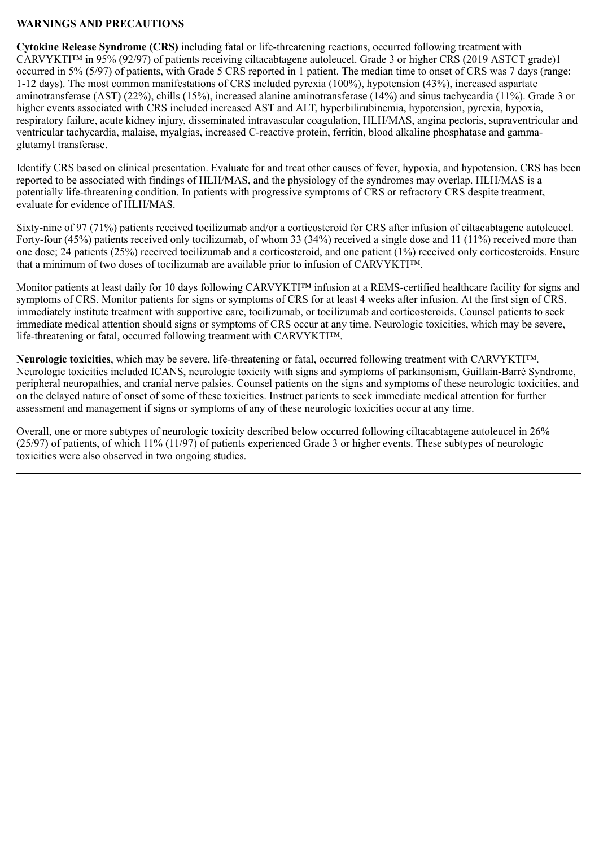### **WARNINGS AND PRECAUTIONS**

**Cytokine Release Syndrome (CRS)** including fatal or life-threatening reactions, occurred following treatment with CARVYKTI™ in 95% (92/97) of patients receiving ciltacabtagene autoleucel. Grade 3 or higher CRS (2019 ASTCT grade)1 occurred in 5% (5/97) of patients, with Grade 5 CRS reported in 1 patient. The median time to onset of CRS was 7 days (range: 1-12 days). The most common manifestations of CRS included pyrexia (100%), hypotension (43%), increased aspartate aminotransferase (AST) (22%), chills (15%), increased alanine aminotransferase (14%) and sinus tachycardia (11%). Grade 3 or higher events associated with CRS included increased AST and ALT, hyperbilirubinemia, hypotension, pyrexia, hypoxia, respiratory failure, acute kidney injury, disseminated intravascular coagulation, HLH/MAS, angina pectoris, supraventricular and ventricular tachycardia, malaise, myalgias, increased C-reactive protein, ferritin, blood alkaline phosphatase and gammaglutamyl transferase.

Identify CRS based on clinical presentation. Evaluate for and treat other causes of fever, hypoxia, and hypotension. CRS has been reported to be associated with findings of HLH/MAS, and the physiology of the syndromes may overlap. HLH/MAS is a potentially life-threatening condition. In patients with progressive symptoms of CRS or refractory CRS despite treatment, evaluate for evidence of HLH/MAS.

Sixty-nine of 97 (71%) patients received tocilizumab and/or a corticosteroid for CRS after infusion of ciltacabtagene autoleucel. Forty-four (45%) patients received only tocilizumab, of whom 33 (34%) received a single dose and 11 (11%) received more than one dose; 24 patients (25%) received tocilizumab and a corticosteroid, and one patient (1%) received only corticosteroids. Ensure that a minimum of two doses of tocilizumab are available prior to infusion of CARVYKTI™.

Monitor patients at least daily for 10 days following CARVYKTI<sup>™</sup> infusion at a REMS-certified healthcare facility for signs and symptoms of CRS. Monitor patients for signs or symptoms of CRS for at least 4 weeks after infusion. At the first sign of CRS, immediately institute treatment with supportive care, tocilizumab, or tocilizumab and corticosteroids. Counsel patients to seek immediate medical attention should signs or symptoms of CRS occur at any time. Neurologic toxicities, which may be severe, life-threatening or fatal, occurred following treatment with CARVYKTI™.

**Neurologic toxicities**, which may be severe, life-threatening or fatal, occurred following treatment with CARVYKTI™. Neurologic toxicities included ICANS, neurologic toxicity with signs and symptoms of parkinsonism, Guillain-Barré Syndrome, peripheral neuropathies, and cranial nerve palsies. Counsel patients on the signs and symptoms of these neurologic toxicities, and on the delayed nature of onset of some of these toxicities. Instruct patients to seek immediate medical attention for further assessment and management if signs or symptoms of any of these neurologic toxicities occur at any time.

Overall, one or more subtypes of neurologic toxicity described below occurred following ciltacabtagene autoleucel in 26% (25/97) of patients, of which 11% (11/97) of patients experienced Grade 3 or higher events. These subtypes of neurologic toxicities were also observed in two ongoing studies.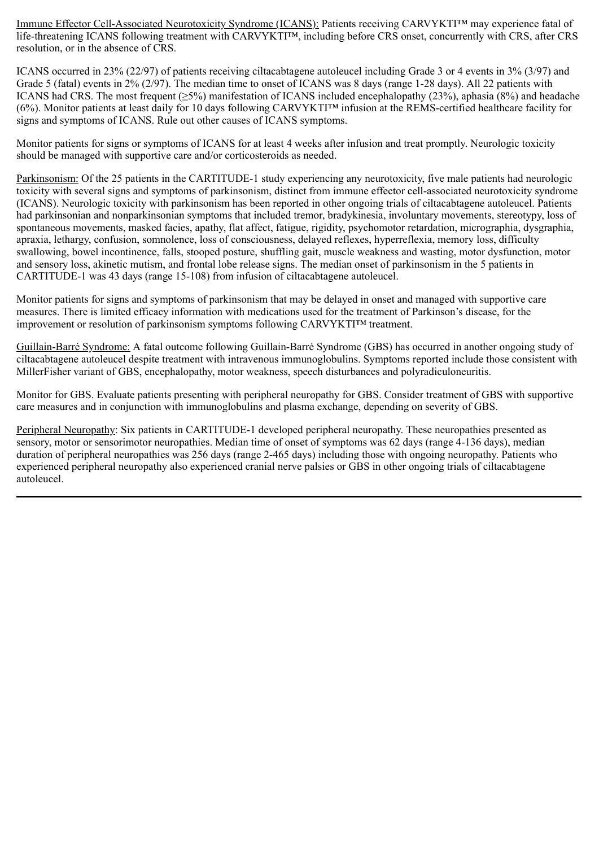Immune Effector Cell-Associated Neurotoxicity Syndrome (ICANS): Patients receiving CARVYKTI™ may experience fatal of life-threatening ICANS following treatment with CARVYKTI™, including before CRS onset, concurrently with CRS, after CRS resolution, or in the absence of CRS.

ICANS occurred in 23% (22/97) of patients receiving ciltacabtagene autoleucel including Grade 3 or 4 events in 3% (3/97) and Grade 5 (fatal) events in 2% (2/97). The median time to onset of ICANS was 8 days (range 1-28 days). All 22 patients with ICANS had CRS. The most frequent ( $>5\%$ ) manifestation of ICANS included encephalopathy (23%), aphasia ( $8\%$ ) and headache (6%). Monitor patients at least daily for 10 days following CARVYKTI™ infusion at the REMS-certified healthcare facility for signs and symptoms of ICANS. Rule out other causes of ICANS symptoms.

Monitor patients for signs or symptoms of ICANS for at least 4 weeks after infusion and treat promptly. Neurologic toxicity should be managed with supportive care and/or corticosteroids as needed.

Parkinsonism: Of the 25 patients in the CARTITUDE-1 study experiencing any neurotoxicity, five male patients had neurologic toxicity with several signs and symptoms of parkinsonism, distinct from immune effector cell-associated neurotoxicity syndrome (ICANS). Neurologic toxicity with parkinsonism has been reported in other ongoing trials of ciltacabtagene autoleucel. Patients had parkinsonian and nonparkinsonian symptoms that included tremor, bradykinesia, involuntary movements, stereotypy, loss of spontaneous movements, masked facies, apathy, flat affect, fatigue, rigidity, psychomotor retardation, micrographia, dysgraphia, apraxia, lethargy, confusion, somnolence, loss of consciousness, delayed reflexes, hyperreflexia, memory loss, difficulty swallowing, bowel incontinence, falls, stooped posture, shuffling gait, muscle weakness and wasting, motor dysfunction, motor and sensory loss, akinetic mutism, and frontal lobe release signs. The median onset of parkinsonism in the 5 patients in CARTITUDE-1 was 43 days (range 15-108) from infusion of ciltacabtagene autoleucel.

Monitor patients for signs and symptoms of parkinsonism that may be delayed in onset and managed with supportive care measures. There is limited efficacy information with medications used for the treatment of Parkinson's disease, for the improvement or resolution of parkinsonism symptoms following CARVYKTI™ treatment.

Guillain-Barré Syndrome: A fatal outcome following Guillain-Barré Syndrome (GBS) has occurred in another ongoing study of ciltacabtagene autoleucel despite treatment with intravenous immunoglobulins. Symptoms reported include those consistent with MillerFisher variant of GBS, encephalopathy, motor weakness, speech disturbances and polyradiculoneuritis.

Monitor for GBS. Evaluate patients presenting with peripheral neuropathy for GBS. Consider treatment of GBS with supportive care measures and in conjunction with immunoglobulins and plasma exchange, depending on severity of GBS.

Peripheral Neuropathy: Six patients in CARTITUDE-1 developed peripheral neuropathy. These neuropathies presented as sensory, motor or sensorimotor neuropathies. Median time of onset of symptoms was 62 days (range 4-136 days), median duration of peripheral neuropathies was 256 days (range 2-465 days) including those with ongoing neuropathy. Patients who experienced peripheral neuropathy also experienced cranial nerve palsies or GBS in other ongoing trials of ciltacabtagene autoleucel.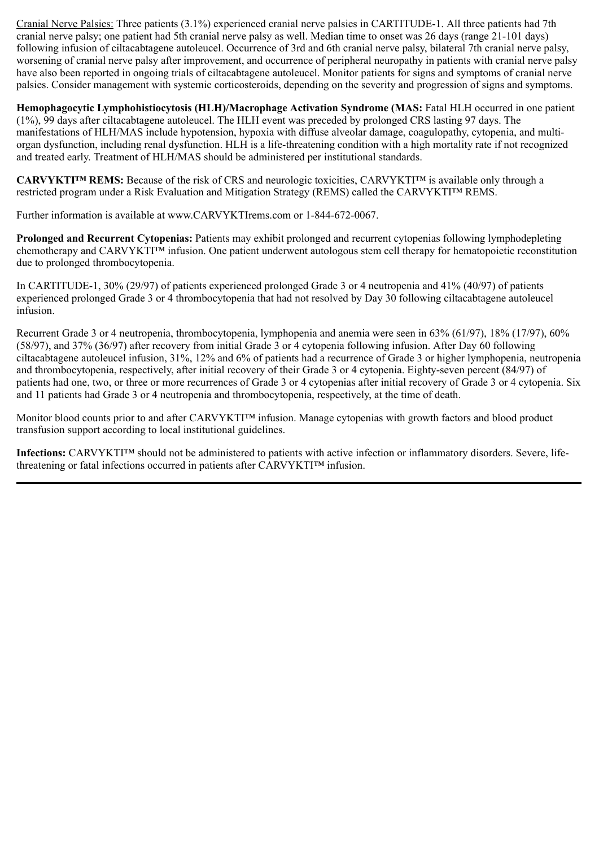Cranial Nerve Palsies: Three patients (3.1%) experienced cranial nerve palsies in CARTITUDE-1. All three patients had 7th cranial nerve palsy; one patient had 5th cranial nerve palsy as well. Median time to onset was 26 days (range 21-101 days) following infusion of ciltacabtagene autoleucel. Occurrence of 3rd and 6th cranial nerve palsy, bilateral 7th cranial nerve palsy, worsening of cranial nerve palsy after improvement, and occurrence of peripheral neuropathy in patients with cranial nerve palsy have also been reported in ongoing trials of ciltacabtagene autoleucel. Monitor patients for signs and symptoms of cranial nerve palsies. Consider management with systemic corticosteroids, depending on the severity and progression of signs and symptoms.

**Hemophagocytic Lymphohistiocytosis (HLH)/Macrophage Activation Syndrome (MAS:** Fatal HLH occurred in one patient (1%), 99 days after ciltacabtagene autoleucel. The HLH event was preceded by prolonged CRS lasting 97 days. The manifestations of HLH/MAS include hypotension, hypoxia with diffuse alveolar damage, coagulopathy, cytopenia, and multiorgan dysfunction, including renal dysfunction. HLH is a life-threatening condition with a high mortality rate if not recognized and treated early. Treatment of HLH/MAS should be administered per institutional standards.

**CARVYKTI™ REMS:** Because of the risk of CRS and neurologic toxicities, CARVYKTI™ is available only through a restricted program under a Risk Evaluation and Mitigation Strategy (REMS) called the CARVYKTI™ REMS.

Further information is available at www.CARVYKTIrems.com or 1-844-672-0067.

**Prolonged and Recurrent Cytopenias:** Patients may exhibit prolonged and recurrent cytopenias following lymphodepleting chemotherapy and CARVYKTI™ infusion. One patient underwent autologous stem cell therapy for hematopoietic reconstitution due to prolonged thrombocytopenia.

In CARTITUDE-1, 30% (29/97) of patients experienced prolonged Grade 3 or 4 neutropenia and 41% (40/97) of patients experienced prolonged Grade 3 or 4 thrombocytopenia that had not resolved by Day 30 following ciltacabtagene autoleucel infusion.

Recurrent Grade 3 or 4 neutropenia, thrombocytopenia, lymphopenia and anemia were seen in 63% (61/97), 18% (17/97), 60% (58/97), and 37% (36/97) after recovery from initial Grade 3 or 4 cytopenia following infusion. After Day 60 following ciltacabtagene autoleucel infusion, 31%, 12% and 6% of patients had a recurrence of Grade 3 or higher lymphopenia, neutropenia and thrombocytopenia, respectively, after initial recovery of their Grade 3 or 4 cytopenia. Eighty-seven percent (84/97) of patients had one, two, or three or more recurrences of Grade 3 or 4 cytopenias after initial recovery of Grade 3 or 4 cytopenia. Six and 11 patients had Grade 3 or 4 neutropenia and thrombocytopenia, respectively, at the time of death.

Monitor blood counts prior to and after CARVYKTI<sup>TM</sup> infusion. Manage cytopenias with growth factors and blood product transfusion support according to local institutional guidelines.

**Infections:** CARVYKTI™ should not be administered to patients with active infection or inflammatory disorders. Severe, lifethreatening or fatal infections occurred in patients after CARVYKTI™ infusion.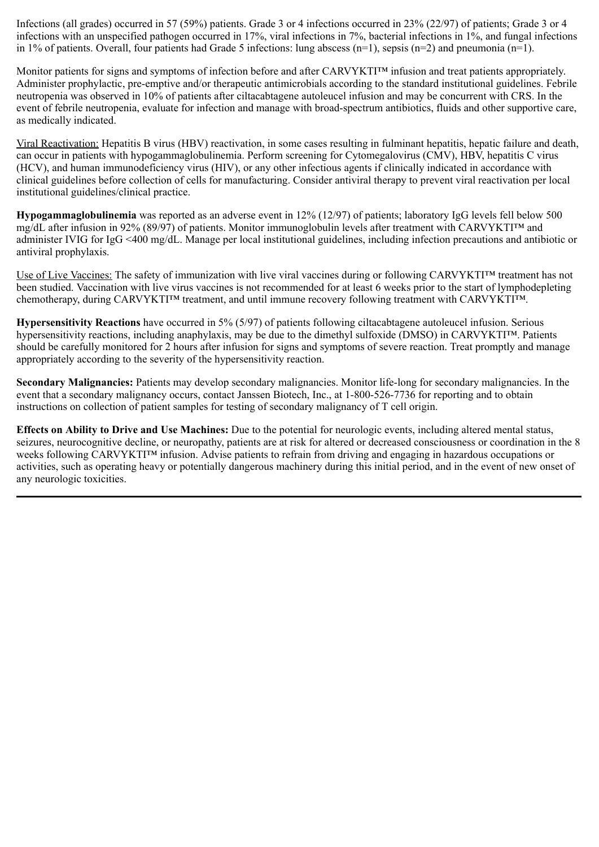Infections (all grades) occurred in 57 (59%) patients. Grade 3 or 4 infections occurred in 23% (22/97) of patients; Grade 3 or 4 infections with an unspecified pathogen occurred in 17%, viral infections in 7%, bacterial infections in 1%, and fungal infections in 1% of patients. Overall, four patients had Grade 5 infections: lung abscess (n=1), sepsis (n=2) and pneumonia (n=1).

Monitor patients for signs and symptoms of infection before and after CARVYKTI<sup>TM</sup> infusion and treat patients appropriately. Administer prophylactic, pre-emptive and/or therapeutic antimicrobials according to the standard institutional guidelines. Febrile neutropenia was observed in 10% of patients after ciltacabtagene autoleucel infusion and may be concurrent with CRS. In the event of febrile neutropenia, evaluate for infection and manage with broad-spectrum antibiotics, fluids and other supportive care, as medically indicated.

Viral Reactivation: Hepatitis B virus (HBV) reactivation, in some cases resulting in fulminant hepatitis, hepatic failure and death, can occur in patients with hypogammaglobulinemia. Perform screening for Cytomegalovirus (CMV), HBV, hepatitis C virus (HCV), and human immunodeficiency virus (HIV), or any other infectious agents if clinically indicated in accordance with clinical guidelines before collection of cells for manufacturing. Consider antiviral therapy to prevent viral reactivation per local institutional guidelines/clinical practice.

**Hypogammaglobulinemia** was reported as an adverse event in 12% (12/97) of patients; laboratory IgG levels fell below 500 mg/dL after infusion in 92% (89/97) of patients. Monitor immunoglobulin levels after treatment with CARVYKTI™ and administer IVIG for IgG <400 mg/dL. Manage per local institutional guidelines, including infection precautions and antibiotic or antiviral prophylaxis.

Use of Live Vaccines: The safety of immunization with live viral vaccines during or following CARVYKTI™ treatment has not been studied. Vaccination with live virus vaccines is not recommended for at least 6 weeks prior to the start of lymphodepleting chemotherapy, during CARVYKTI™ treatment, and until immune recovery following treatment with CARVYKTI™.

**Hypersensitivity Reactions** have occurred in 5% (5/97) of patients following ciltacabtagene autoleucel infusion. Serious hypersensitivity reactions, including anaphylaxis, may be due to the dimethyl sulfoxide (DMSO) in CARVYKTI™. Patients should be carefully monitored for 2 hours after infusion for signs and symptoms of severe reaction. Treat promptly and manage appropriately according to the severity of the hypersensitivity reaction.

**Secondary Malignancies:** Patients may develop secondary malignancies. Monitor life-long for secondary malignancies. In the event that a secondary malignancy occurs, contact Janssen Biotech, Inc., at 1-800-526-7736 for reporting and to obtain instructions on collection of patient samples for testing of secondary malignancy of T cell origin.

**Effects on Ability to Drive and Use Machines:** Due to the potential for neurologic events, including altered mental status, seizures, neurocognitive decline, or neuropathy, patients are at risk for altered or decreased consciousness or coordination in the 8 weeks following CARVYKTI™ infusion. Advise patients to refrain from driving and engaging in hazardous occupations or activities, such as operating heavy or potentially dangerous machinery during this initial period, and in the event of new onset of any neurologic toxicities.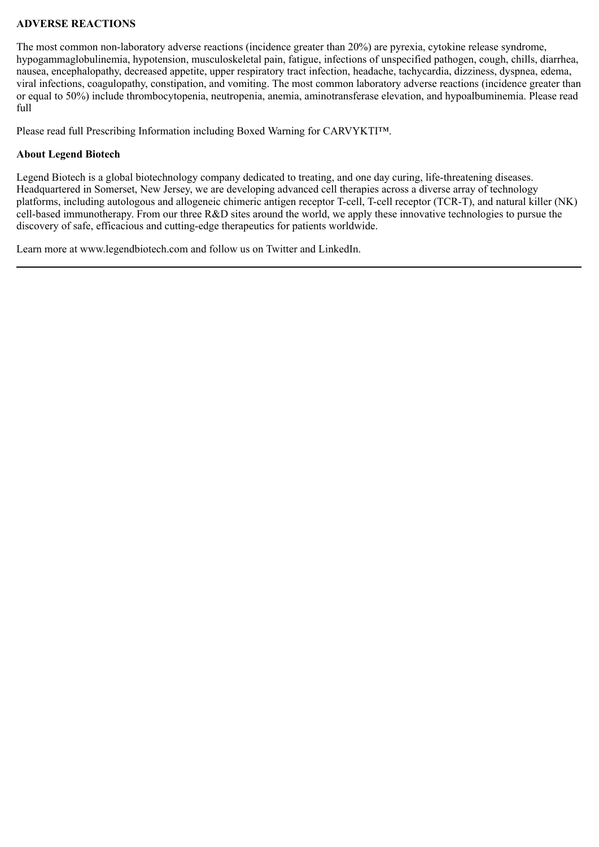### **ADVERSE REACTIONS**

The most common non-laboratory adverse reactions (incidence greater than 20%) are pyrexia, cytokine release syndrome, hypogammaglobulinemia, hypotension, musculoskeletal pain, fatigue, infections of unspecified pathogen, cough, chills, diarrhea, nausea, encephalopathy, decreased appetite, upper respiratory tract infection, headache, tachycardia, dizziness, dyspnea, edema, viral infections, coagulopathy, constipation, and vomiting. The most common laboratory adverse reactions (incidence greater than or equal to 50%) include thrombocytopenia, neutropenia, anemia, aminotransferase elevation, and hypoalbuminemia. Please read full

Please read full Prescribing Information including Boxed Warning for CARVYKTI™.

#### **About Legend Biotech**

Legend Biotech is a global biotechnology company dedicated to treating, and one day curing, life-threatening diseases. Headquartered in Somerset, New Jersey, we are developing advanced cell therapies across a diverse array of technology platforms, including autologous and allogeneic chimeric antigen receptor T-cell, T-cell receptor (TCR-T), and natural killer (NK) cell-based immunotherapy. From our three R&D sites around the world, we apply these innovative technologies to pursue the discovery of safe, efficacious and cutting-edge therapeutics for patients worldwide.

Learn more at www.legendbiotech.com and follow us on Twitter and LinkedIn.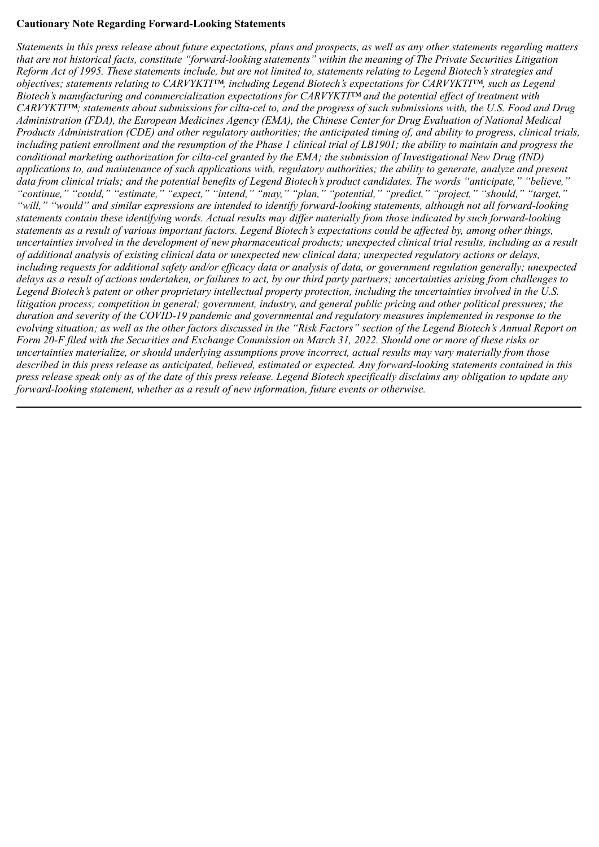### **Cautionary Note Regarding Forward-Looking Statements**

*Statements in this press release about future expectations, plans and prospects, as well as any other statements regarding matters that are not historical facts, constitute "forward-looking statements" within the meaning of The Private Securities Litigation Reform Act of 1995. These statements include, but are not limited to, statements relating to Legend Biotech's strategies and objectives; statements relating to CARVYKTI™, including Legend Biotech's expectations for CARVYKTI™, such as Legend Biotech's manufacturing and commercialization expectations for CARVYKTI™ and the potential effect of treatment with CARVYKTI™; statements about submissions for cilta-cel to, and the progress of such submissions with, the U.S. Food and Drug Administration (FDA), the European Medicines Agency (EMA), the Chinese Center for Drug Evaluation of National Medical Products Administration (CDE) and other regulatory authorities; the anticipated timing of, and ability to progress, clinical trials, including patient enrollment and the resumption of the Phase 1 clinical trial of LB1901; the ability to maintain and progress the conditional marketing authorization for cilta-cel granted by the EMA; the submission of Investigational New Drug (IND) applications to, and maintenance of such applications with, regulatory authorities; the ability to generate, analyze and present data from clinical trials; and the potential benefits of Legend Biotech's product candidates. The words "anticipate," "believe," "continue," "could," "estimate," "expect," "intend," "may," "plan," "potential," "predict," "project," "should," "target," "will," "would" and similar expressions are intended to identify forward-looking statements, although not all forward-looking statements contain these identifying words. Actual results may differ materially from those indicated by such forward-looking statements as a result of various important factors. Legend Biotech's expectations could be affected by, among other things, uncertainties involved in the development of new pharmaceutical products; unexpected clinical trial results, including as a result of additional analysis of existing clinical data or unexpected new clinical data; unexpected regulatory actions or delays, including requests for additional safety and/or efficacy data or analysis of data, or government regulation generally; unexpected delays as a result of actions undertaken, or failures to act, by our third party partners; uncertainties arising from challenges to Legend Biotech's patent or other proprietary intellectual property protection, including the uncertainties involved in the U.S. litigation process; competition in general; government, industry, and general public pricing and other political pressures; the duration and severity of the COVID-19 pandemic and governmental and regulatory measures implemented in response to the evolving situation; as well as the other factors discussed in the "Risk Factors" section of the Legend Biotech's Annual Report on Form 20-F filed with the Securities and Exchange Commission on March 31, 2022. Should one or more of these risks or uncertainties materialize, or should underlying assumptions prove incorrect, actual results may vary materially from those described in this press release as anticipated, believed, estimated or expected. Any forward-looking statements contained in this press release speak only as of the date of this press release. Legend Biotech specifically disclaims any obligation to update any forward-looking statement, whether as a result of new information, future events or otherwise.*